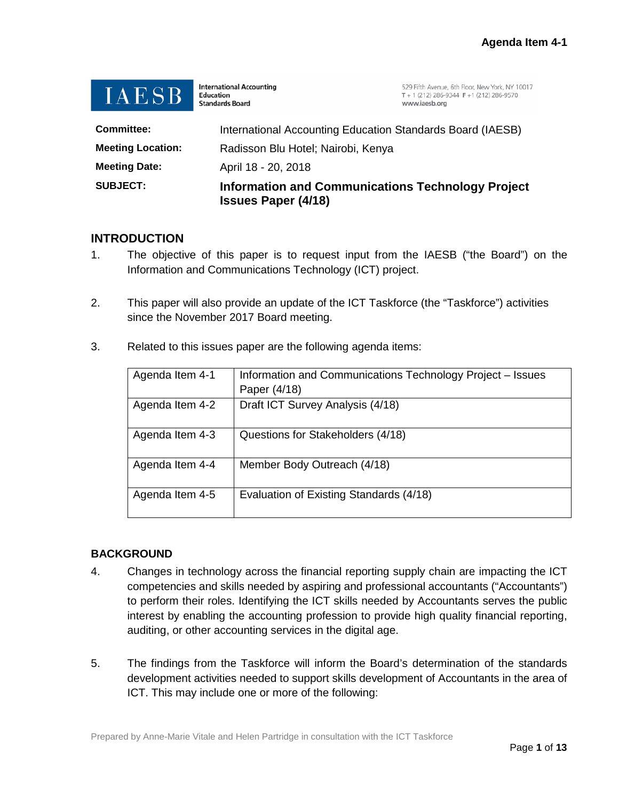

**International Accounting** Education **Standards Board** 

529 Fifth Avenue, 6th Floor, New York, NY 10017  $T + 1(212) 286 - 9344 F + 1(212) 286 - 9570$ www.iaesb.org

| <b>SUBJECT:</b>          | <b>Information and Communications Technology Project</b><br><b>Issues Paper (4/18)</b> |  |
|--------------------------|----------------------------------------------------------------------------------------|--|
| <b>Meeting Date:</b>     | April 18 - 20, 2018                                                                    |  |
| <b>Meeting Location:</b> | Radisson Blu Hotel; Nairobi, Kenya                                                     |  |
| <b>Committee:</b>        | International Accounting Education Standards Board (IAESB)                             |  |

# **INTRODUCTION**

- 1. The objective of this paper is to request input from the IAESB ("the Board") on the Information and Communications Technology (ICT) project.
- 2. This paper will also provide an update of the ICT Taskforce (the "Taskforce") activities since the November 2017 Board meeting.

| Agenda Item 4-1 | Information and Communications Technology Project - Issues |  |
|-----------------|------------------------------------------------------------|--|
|                 | Paper (4/18)                                               |  |
| Agenda Item 4-2 | Draft ICT Survey Analysis (4/18)                           |  |
| Agenda Item 4-3 | Questions for Stakeholders (4/18)                          |  |
| Agenda Item 4-4 | Member Body Outreach (4/18)                                |  |
| Agenda Item 4-5 | Evaluation of Existing Standards (4/18)                    |  |

3. Related to this issues paper are the following agenda items:

# **BACKGROUND**

- 4. Changes in technology across the financial reporting supply chain are impacting the ICT competencies and skills needed by aspiring and professional accountants ("Accountants") to perform their roles. Identifying the ICT skills needed by Accountants serves the public interest by enabling the accounting profession to provide high quality financial reporting, auditing, or other accounting services in the digital age.
- 5. The findings from the Taskforce will inform the Board's determination of the standards development activities needed to support skills development of Accountants in the area of ICT. This may include one or more of the following: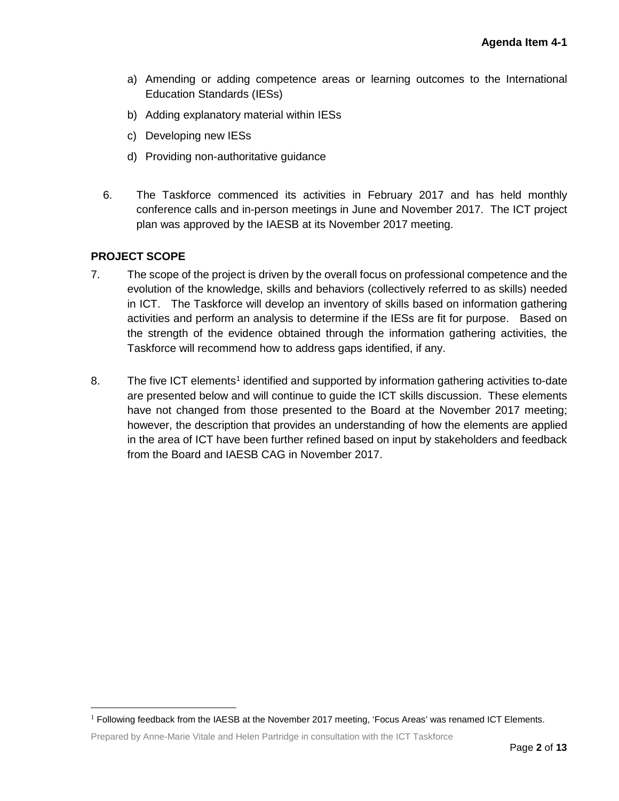- a) Amending or adding competence areas or learning outcomes to the International Education Standards (IESs)
- b) Adding explanatory material within IESs
- c) Developing new IESs
- d) Providing non-authoritative guidance
- 6. The Taskforce commenced its activities in February 2017 and has held monthly conference calls and in-person meetings in June and November 2017. The ICT project plan was approved by the IAESB at its November 2017 meeting.

## **PROJECT SCOPE**

- 7. The scope of the project is driven by the overall focus on professional competence and the evolution of the knowledge, skills and behaviors (collectively referred to as skills) needed in ICT. The Taskforce will develop an inventory of skills based on information gathering activities and perform an analysis to determine if the IESs are fit for purpose. Based on the strength of the evidence obtained through the information gathering activities, the Taskforce will recommend how to address gaps identified, if any.
- 8. The five ICT elements<sup>[1](#page-1-0)</sup> identified and supported by information gathering activities to-date are presented below and will continue to guide the ICT skills discussion. These elements have not changed from those presented to the Board at the November 2017 meeting; however, the description that provides an understanding of how the elements are applied in the area of ICT have been further refined based on input by stakeholders and feedback from the Board and IAESB CAG in November 2017.

<span id="page-1-0"></span> $<sup>1</sup>$  Following feedback from the IAESB at the November 2017 meeting, 'Focus Areas' was renamed ICT Elements.</sup>

Prepared by Anne-Marie Vitale and Helen Partridge in consultation with the ICT Taskforce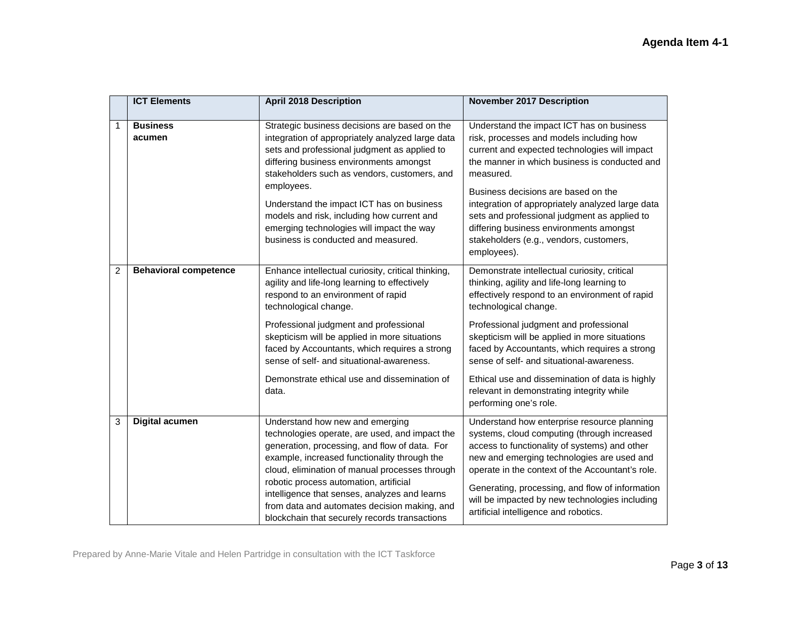|              | <b>ICT Elements</b>          | <b>April 2018 Description</b>                                                                                                                                                                                                                                                                                                                                                                                                             | <b>November 2017 Description</b>                                                                                                                                                                                                                                                                                                                                                                                                                                                          |
|--------------|------------------------------|-------------------------------------------------------------------------------------------------------------------------------------------------------------------------------------------------------------------------------------------------------------------------------------------------------------------------------------------------------------------------------------------------------------------------------------------|-------------------------------------------------------------------------------------------------------------------------------------------------------------------------------------------------------------------------------------------------------------------------------------------------------------------------------------------------------------------------------------------------------------------------------------------------------------------------------------------|
| $\mathbf{1}$ | <b>Business</b><br>acumen    | Strategic business decisions are based on the<br>integration of appropriately analyzed large data<br>sets and professional judgment as applied to<br>differing business environments amongst<br>stakeholders such as vendors, customers, and<br>employees.<br>Understand the impact ICT has on business<br>models and risk, including how current and<br>emerging technologies will impact the way<br>business is conducted and measured. | Understand the impact ICT has on business<br>risk, processes and models including how<br>current and expected technologies will impact<br>the manner in which business is conducted and<br>measured.<br>Business decisions are based on the<br>integration of appropriately analyzed large data<br>sets and professional judgment as applied to<br>differing business environments amongst<br>stakeholders (e.g., vendors, customers,<br>employees).                                      |
| 2            | <b>Behavioral competence</b> | Enhance intellectual curiosity, critical thinking,<br>agility and life-long learning to effectively<br>respond to an environment of rapid<br>technological change.<br>Professional judgment and professional<br>skepticism will be applied in more situations<br>faced by Accountants, which requires a strong<br>sense of self- and situational-awareness.<br>Demonstrate ethical use and dissemination of<br>data.                      | Demonstrate intellectual curiosity, critical<br>thinking, agility and life-long learning to<br>effectively respond to an environment of rapid<br>technological change.<br>Professional judgment and professional<br>skepticism will be applied in more situations<br>faced by Accountants, which requires a strong<br>sense of self- and situational-awareness.<br>Ethical use and dissemination of data is highly<br>relevant in demonstrating integrity while<br>performing one's role. |
| 3            | <b>Digital acumen</b>        | Understand how new and emerging<br>technologies operate, are used, and impact the<br>generation, processing, and flow of data. For<br>example, increased functionality through the<br>cloud, elimination of manual processes through<br>robotic process automation, artificial<br>intelligence that senses, analyzes and learns<br>from data and automates decision making, and<br>blockchain that securely records transactions          | Understand how enterprise resource planning<br>systems, cloud computing (through increased<br>access to functionality of systems) and other<br>new and emerging technologies are used and<br>operate in the context of the Accountant's role.<br>Generating, processing, and flow of information<br>will be impacted by new technologies including<br>artificial intelligence and robotics.                                                                                               |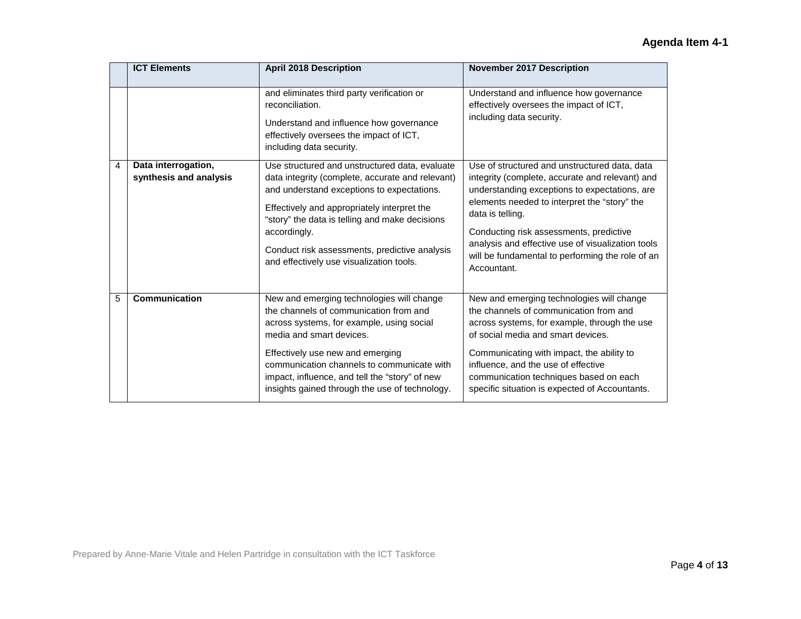|   | <b>ICT Elements</b>                           | <b>April 2018 Description</b>                                                                                                                                                                                                                                                                                                                                  | <b>November 2017 Description</b>                                                                                                                                                                                                                                                                                                                                                         |
|---|-----------------------------------------------|----------------------------------------------------------------------------------------------------------------------------------------------------------------------------------------------------------------------------------------------------------------------------------------------------------------------------------------------------------------|------------------------------------------------------------------------------------------------------------------------------------------------------------------------------------------------------------------------------------------------------------------------------------------------------------------------------------------------------------------------------------------|
|   |                                               | and eliminates third party verification or<br>reconciliation.<br>Understand and influence how governance<br>effectively oversees the impact of ICT,<br>including data security.                                                                                                                                                                                | Understand and influence how governance<br>effectively oversees the impact of ICT,<br>including data security.                                                                                                                                                                                                                                                                           |
| 4 | Data interrogation,<br>synthesis and analysis | Use structured and unstructured data, evaluate<br>data integrity (complete, accurate and relevant)<br>and understand exceptions to expectations.<br>Effectively and appropriately interpret the<br>"story" the data is telling and make decisions<br>accordingly.<br>Conduct risk assessments, predictive analysis<br>and effectively use visualization tools. | Use of structured and unstructured data, data<br>integrity (complete, accurate and relevant) and<br>understanding exceptions to expectations, are<br>elements needed to interpret the "story" the<br>data is telling.<br>Conducting risk assessments, predictive<br>analysis and effective use of visualization tools<br>will be fundamental to performing the role of an<br>Accountant. |
| 5 | Communication                                 | New and emerging technologies will change<br>the channels of communication from and<br>across systems, for example, using social<br>media and smart devices.<br>Effectively use new and emerging<br>communication channels to communicate with<br>impact, influence, and tell the "story" of new<br>insights gained through the use of technology.             | New and emerging technologies will change<br>the channels of communication from and<br>across systems, for example, through the use<br>of social media and smart devices.<br>Communicating with impact, the ability to<br>influence, and the use of effective<br>communication techniques based on each<br>specific situation is expected of Accountants.                                |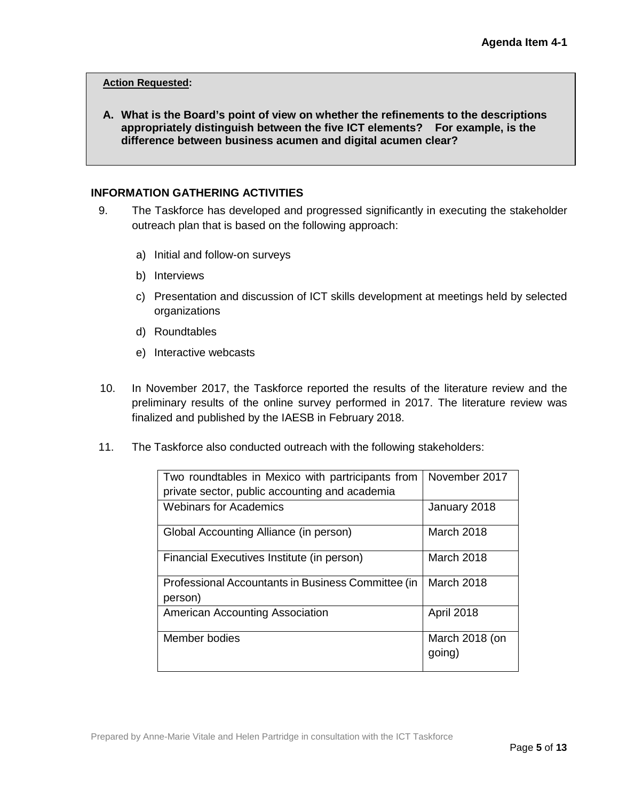#### **Action Requested:**

**A. What is the Board's point of view on whether the refinements to the descriptions appropriately distinguish between the five ICT elements? For example, is the difference between business acumen and digital acumen clear?**

#### **INFORMATION GATHERING ACTIVITIES**

- 9. The Taskforce has developed and progressed significantly in executing the stakeholder outreach plan that is based on the following approach:
	- a) Initial and follow-on surveys
	- b) Interviews
	- c) Presentation and discussion of ICT skills development at meetings held by selected organizations
	- d) Roundtables
	- e) Interactive webcasts
- 10. In November 2017, the Taskforce reported the results of the literature review and the preliminary results of the online survey performed in 2017. The literature review was finalized and published by the IAESB in February 2018.
- 11. The Taskforce also conducted outreach with the following stakeholders:

| Two roundtables in Mexico with partricipants from<br>private sector, public accounting and academia | November 2017            |
|-----------------------------------------------------------------------------------------------------|--------------------------|
| <b>Webinars for Academics</b>                                                                       | January 2018             |
| Global Accounting Alliance (in person)                                                              | March 2018               |
| Financial Executives Institute (in person)                                                          | March 2018               |
| Professional Accountants in Business Committee (in<br>person)                                       | March 2018               |
| <b>American Accounting Association</b>                                                              | <b>April 2018</b>        |
| Member bodies                                                                                       | March 2018 (on<br>going) |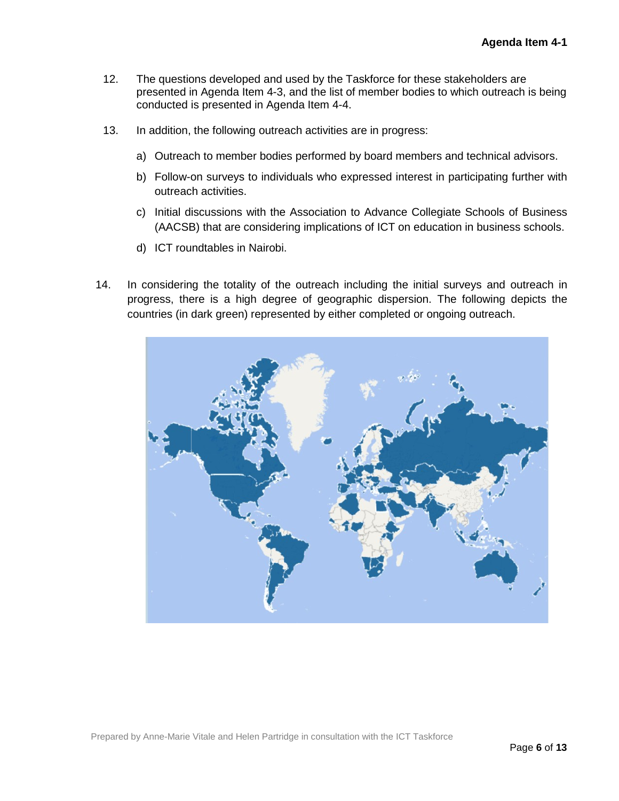- 12. The questions developed and used by the Taskforce for these stakeholders are presented in Agenda Item 4-3, and the list of member bodies to which outreach is being conducted is presented in Agenda Item 4-4.
- 13. In addition, the following outreach activities are in progress:
	- a) Outreach to member bodies performed by board members and technical advisors.
	- b) Follow-on surveys to individuals who expressed interest in participating further with outreach activities.
	- c) Initial discussions with the Association to Advance Collegiate Schools of Business (AACSB) that are considering implications of ICT on education in business schools.
	- d) ICT roundtables in Nairobi.
- 14. In considering the totality of the outreach including the initial surveys and outreach in progress, there is a high degree of geographic dispersion. The following depicts the countries (in dark green) represented by either completed or ongoing outreach.

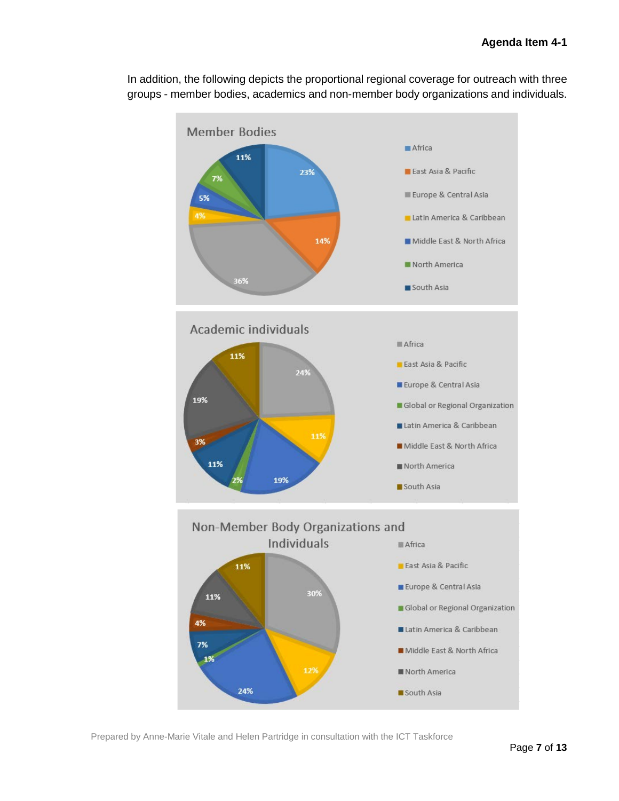

In addition, the following depicts the proportional regional coverage for outreach with three groups - member bodies, academics and non-member body organizations and individuals.

Prepared by Anne-Marie Vitale and Helen Partridge in consultation with the ICT Taskforce

24%

12%

North America

South Asia

1%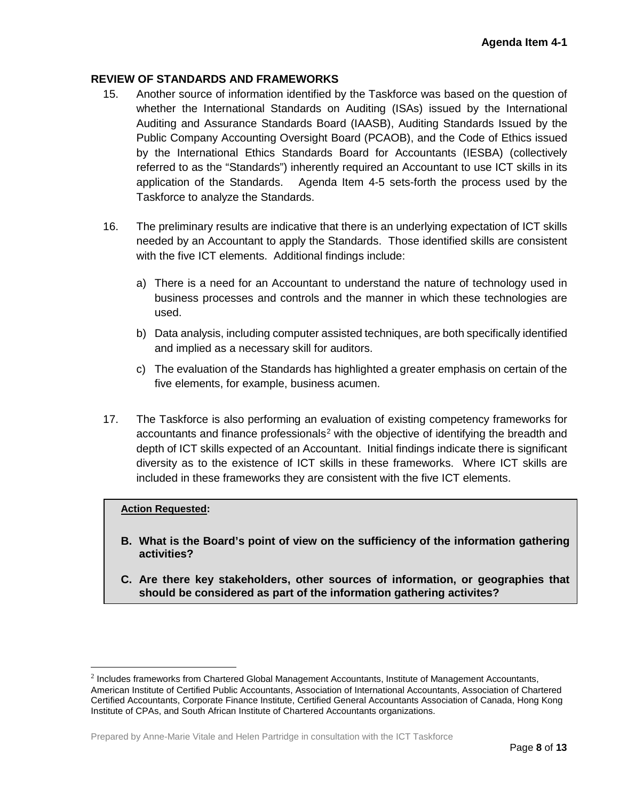## **REVIEW OF STANDARDS AND FRAMEWORKS**

- 15. Another source of information identified by the Taskforce was based on the question of whether the International Standards on Auditing (ISAs) issued by the International Auditing and Assurance Standards Board (IAASB), Auditing Standards Issued by the Public Company Accounting Oversight Board (PCAOB), and the Code of Ethics issued by the International Ethics Standards Board for Accountants (IESBA) (collectively referred to as the "Standards") inherently required an Accountant to use ICT skills in its application of the Standards. Agenda Item 4-5 sets-forth the process used by the Taskforce to analyze the Standards.
- 16. The preliminary results are indicative that there is an underlying expectation of ICT skills needed by an Accountant to apply the Standards. Those identified skills are consistent with the five ICT elements. Additional findings include:
	- a) There is a need for an Accountant to understand the nature of technology used in business processes and controls and the manner in which these technologies are used.
	- b) Data analysis, including computer assisted techniques, are both specifically identified and implied as a necessary skill for auditors.
	- c) The evaluation of the Standards has highlighted a greater emphasis on certain of the five elements, for example, business acumen.
- 17. The Taskforce is also performing an evaluation of existing competency frameworks for accountants and finance professionals<sup>[2](#page-7-0)</sup> with the objective of identifying the breadth and depth of ICT skills expected of an Accountant. Initial findings indicate there is significant diversity as to the existence of ICT skills in these frameworks. Where ICT skills are included in these frameworks they are consistent with the five ICT elements.

#### **Action Requested:**

- **B. What is the Board's point of view on the sufficiency of the information gathering activities?**
- **C. Are there key stakeholders, other sources of information, or geographies that should be considered as part of the information gathering activites?**

<span id="page-7-0"></span> <sup>2</sup> Includes frameworks from Chartered Global Management Accountants, Institute of Management Accountants, American Institute of Certified Public Accountants, Association of International Accountants, Association of Chartered Certified Accountants, Corporate Finance Institute, Certified General Accountants Association of Canada, Hong Kong Institute of CPAs, and South African Institute of Chartered Accountants organizations.

Prepared by Anne-Marie Vitale and Helen Partridge in consultation with the ICT Taskforce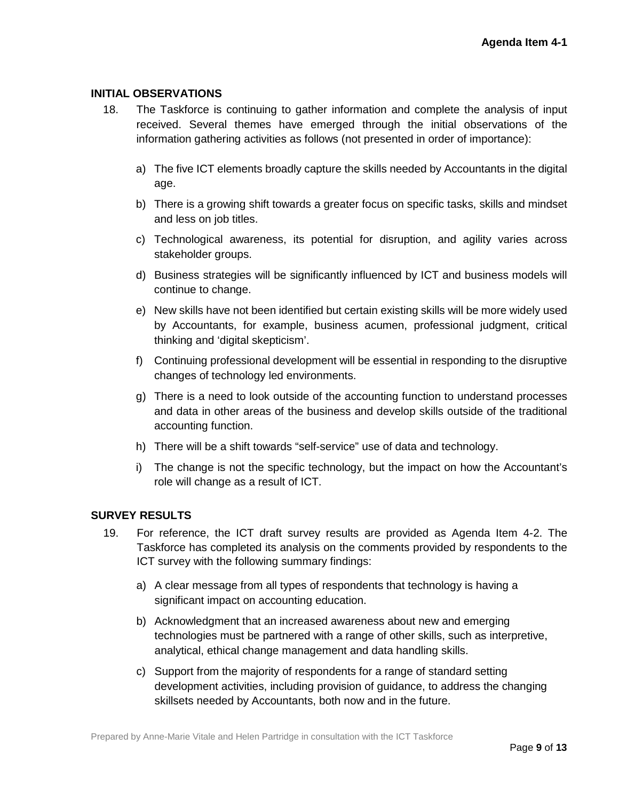### **INITIAL OBSERVATIONS**

- 18. The Taskforce is continuing to gather information and complete the analysis of input received. Several themes have emerged through the initial observations of the information gathering activities as follows (not presented in order of importance):
	- a) The five ICT elements broadly capture the skills needed by Accountants in the digital age.
	- b) There is a growing shift towards a greater focus on specific tasks, skills and mindset and less on job titles.
	- c) Technological awareness, its potential for disruption, and agility varies across stakeholder groups.
	- d) Business strategies will be significantly influenced by ICT and business models will continue to change.
	- e) New skills have not been identified but certain existing skills will be more widely used by Accountants, for example, business acumen, professional judgment, critical thinking and 'digital skepticism'.
	- f) Continuing professional development will be essential in responding to the disruptive changes of technology led environments.
	- g) There is a need to look outside of the accounting function to understand processes and data in other areas of the business and develop skills outside of the traditional accounting function.
	- h) There will be a shift towards "self-service" use of data and technology.
	- i) The change is not the specific technology, but the impact on how the Accountant's role will change as a result of ICT.

# **SURVEY RESULTS**

- 19. For reference, the ICT draft survey results are provided as Agenda Item 4-2. The Taskforce has completed its analysis on the comments provided by respondents to the ICT survey with the following summary findings:
	- a) A clear message from all types of respondents that technology is having a significant impact on accounting education.
	- b) Acknowledgment that an increased awareness about new and emerging technologies must be partnered with a range of other skills, such as interpretive, analytical, ethical change management and data handling skills.
	- c) Support from the majority of respondents for a range of standard setting development activities, including provision of guidance, to address the changing skillsets needed by Accountants, both now and in the future.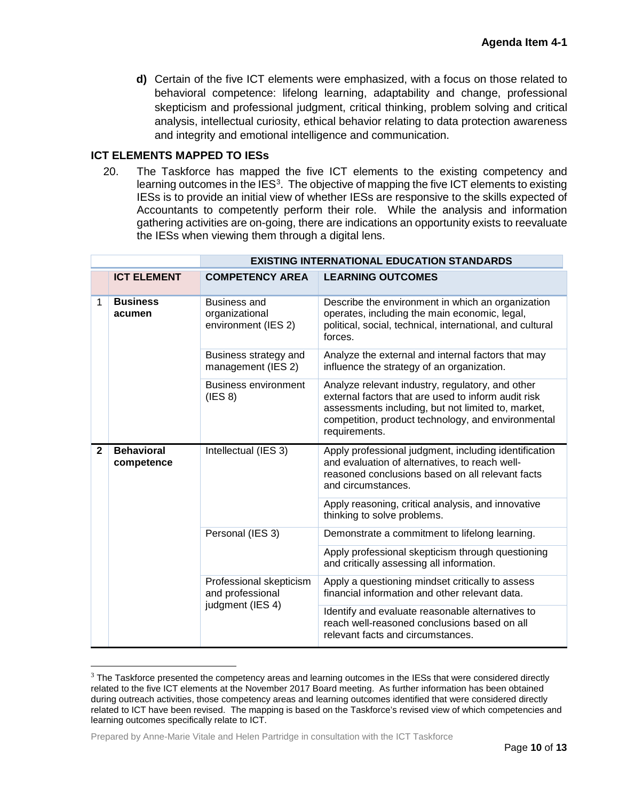**d)** Certain of the five ICT elements were emphasized, with a focus on those related to behavioral competence: lifelong learning, adaptability and change, professional skepticism and professional judgment, critical thinking, problem solving and critical analysis, intellectual curiosity, ethical behavior relating to data protection awareness and integrity and emotional intelligence and communication.

### **ICT ELEMENTS MAPPED TO IESs**

20. The Taskforce has mapped the five ICT elements to the existing competency and learning outcomes in the IES<sup>[3](#page-9-0)</sup>. The objective of mapping the five ICT elements to existing IESs is to provide an initial view of whether IESs are responsive to the skills expected of Accountants to competently perform their role. While the analysis and information gathering activities are on-going, there are indications an opportunity exists to reevaluate the IESs when viewing them through a digital lens.

|              |                                 | <b>EXISTING INTERNATIONAL EDUCATION STANDARDS</b>               |                                                                                                                                                                                                                                      |  |
|--------------|---------------------------------|-----------------------------------------------------------------|--------------------------------------------------------------------------------------------------------------------------------------------------------------------------------------------------------------------------------------|--|
|              | <b>ICT ELEMENT</b>              | <b>COMPETENCY AREA</b>                                          | <b>LEARNING OUTCOMES</b>                                                                                                                                                                                                             |  |
| 1            | <b>Business</b><br>acumen       | Business and<br>organizational<br>environment (IES 2)           | Describe the environment in which an organization<br>operates, including the main economic, legal,<br>political, social, technical, international, and cultural<br>forces.                                                           |  |
|              |                                 | Business strategy and<br>management (IES 2)                     | Analyze the external and internal factors that may<br>influence the strategy of an organization.                                                                                                                                     |  |
|              |                                 | <b>Business environment</b><br>(IES 8)                          | Analyze relevant industry, regulatory, and other<br>external factors that are used to inform audit risk<br>assessments including, but not limited to, market,<br>competition, product technology, and environmental<br>requirements. |  |
| $\mathbf{2}$ | <b>Behavioral</b><br>competence | Intellectual (IES 3)                                            | Apply professional judgment, including identification<br>and evaluation of alternatives, to reach well-<br>reasoned conclusions based on all relevant facts<br>and circumstances.                                                    |  |
|              |                                 |                                                                 | Apply reasoning, critical analysis, and innovative<br>thinking to solve problems.                                                                                                                                                    |  |
|              |                                 | Personal (IES 3)                                                | Demonstrate a commitment to lifelong learning.                                                                                                                                                                                       |  |
|              |                                 |                                                                 | Apply professional skepticism through questioning<br>and critically assessing all information.                                                                                                                                       |  |
|              |                                 | Professional skepticism<br>and professional<br>judgment (IES 4) | Apply a questioning mindset critically to assess<br>financial information and other relevant data.                                                                                                                                   |  |
|              |                                 |                                                                 | Identify and evaluate reasonable alternatives to<br>reach well-reasoned conclusions based on all<br>relevant facts and circumstances.                                                                                                |  |

<span id="page-9-0"></span> $3$  The Taskforce presented the competency areas and learning outcomes in the IESs that were considered directly related to the five ICT elements at the November 2017 Board meeting. As further information has been obtained during outreach activities, those competency areas and learning outcomes identified that were considered directly related to ICT have been revised. The mapping is based on the Taskforce's revised view of which competencies and learning outcomes specifically relate to ICT.

Prepared by Anne-Marie Vitale and Helen Partridge in consultation with the ICT Taskforce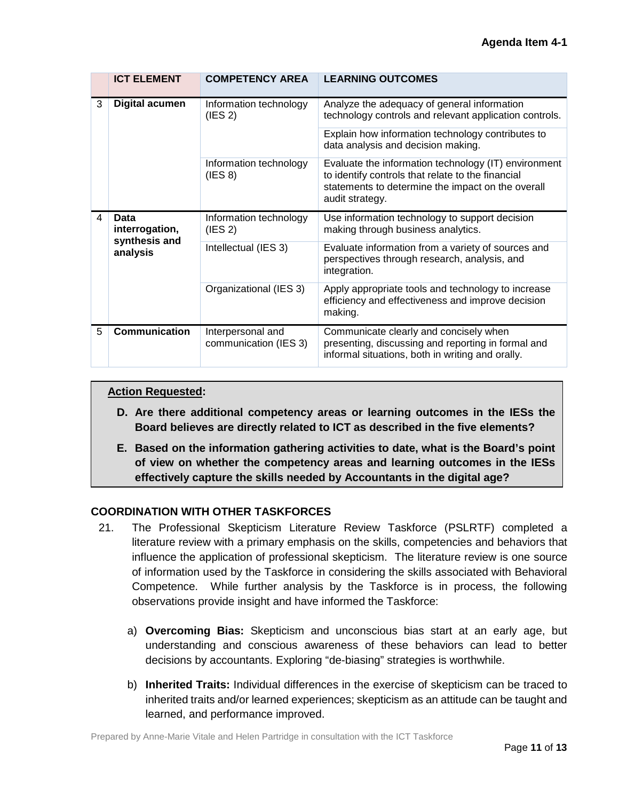|   | <b>ICT ELEMENT</b>                                  | <b>COMPETENCY AREA</b>                     | <b>LEARNING OUTCOMES</b>                                                                                                                                                          |
|---|-----------------------------------------------------|--------------------------------------------|-----------------------------------------------------------------------------------------------------------------------------------------------------------------------------------|
| 3 | <b>Digital acumen</b>                               | Information technology<br>(IES 2)          | Analyze the adequacy of general information<br>technology controls and relevant application controls.                                                                             |
|   |                                                     |                                            | Explain how information technology contributes to<br>data analysis and decision making.                                                                                           |
|   |                                                     | Information technology<br>(IES 8)          | Evaluate the information technology (IT) environment<br>to identify controls that relate to the financial<br>statements to determine the impact on the overall<br>audit strategy. |
| 4 | Data<br>interrogation,<br>synthesis and<br>analysis | Information technology<br>(IES 2)          | Use information technology to support decision<br>making through business analytics.                                                                                              |
|   |                                                     | Intellectual (IES 3)                       | Evaluate information from a variety of sources and<br>perspectives through research, analysis, and<br>integration.                                                                |
|   |                                                     | Organizational (IES 3)                     | Apply appropriate tools and technology to increase<br>efficiency and effectiveness and improve decision<br>making.                                                                |
| 5 | Communication                                       | Interpersonal and<br>communication (IES 3) | Communicate clearly and concisely when<br>presenting, discussing and reporting in formal and<br>informal situations, both in writing and orally.                                  |

### **Action Requested:**

- **D. Are there additional competency areas or learning outcomes in the IESs the Board believes are directly related to ICT as described in the five elements?**
- **E. Based on the information gathering activities to date, what is the Board's point of view on whether the competency areas and learning outcomes in the IESs effectively capture the skills needed by Accountants in the digital age?**

## **COORDINATION WITH OTHER TASKFORCES**

- 21. The Professional Skepticism Literature Review Taskforce (PSLRTF) completed a literature review with a primary emphasis on the skills, competencies and behaviors that influence the application of professional skepticism. The literature review is one source of information used by the Taskforce in considering the skills associated with Behavioral Competence. While further analysis by the Taskforce is in process, the following observations provide insight and have informed the Taskforce:
	- a) **Overcoming Bias:** Skepticism and unconscious bias start at an early age, but understanding and conscious awareness of these behaviors can lead to better decisions by accountants. Exploring "de-biasing" strategies is worthwhile.
	- b) **Inherited Traits:** Individual differences in the exercise of skepticism can be traced to inherited traits and/or learned experiences; skepticism as an attitude can be taught and learned, and performance improved.

Prepared by Anne-Marie Vitale and Helen Partridge in consultation with the ICT Taskforce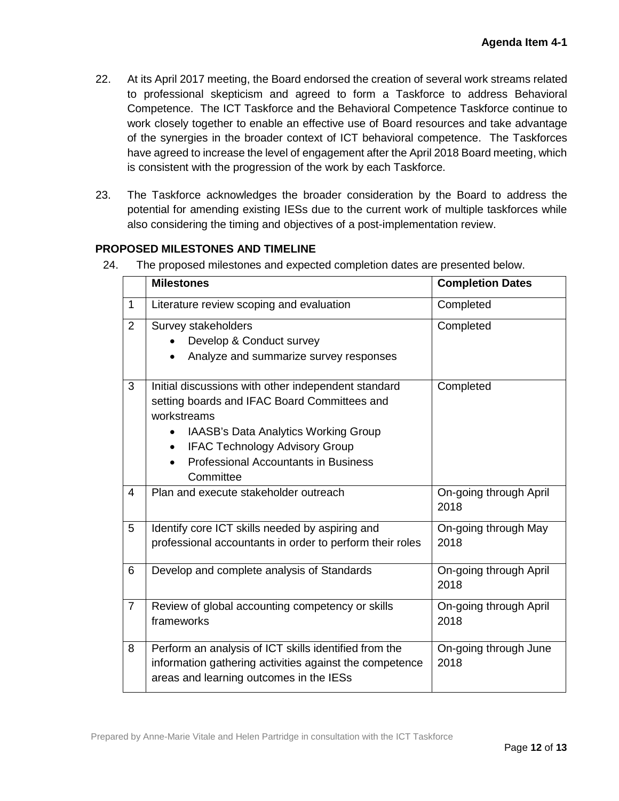- 22. At its April 2017 meeting, the Board endorsed the creation of several work streams related to professional skepticism and agreed to form a Taskforce to address Behavioral Competence. The ICT Taskforce and the Behavioral Competence Taskforce continue to work closely together to enable an effective use of Board resources and take advantage of the synergies in the broader context of ICT behavioral competence. The Taskforces have agreed to increase the level of engagement after the April 2018 Board meeting, which is consistent with the progression of the work by each Taskforce.
- 23. The Taskforce acknowledges the broader consideration by the Board to address the potential for amending existing IESs due to the current work of multiple taskforces while also considering the timing and objectives of a post-implementation review.

## **PROPOSED MILESTONES AND TIMELINE**

24. The proposed milestones and expected completion dates are presented below.

|                | <b>Milestones</b>                                                                                                                                                                                                                                                      | <b>Completion Dates</b>        |
|----------------|------------------------------------------------------------------------------------------------------------------------------------------------------------------------------------------------------------------------------------------------------------------------|--------------------------------|
| $\mathbf{1}$   | Literature review scoping and evaluation                                                                                                                                                                                                                               | Completed                      |
| 2              | Survey stakeholders<br>Develop & Conduct survey<br>Analyze and summarize survey responses                                                                                                                                                                              | Completed                      |
| 3              | Initial discussions with other independent standard<br>setting boards and IFAC Board Committees and<br>workstreams<br><b>IAASB's Data Analytics Working Group</b><br><b>IFAC Technology Advisory Group</b><br><b>Professional Accountants in Business</b><br>Committee | Completed                      |
| $\overline{4}$ | Plan and execute stakeholder outreach                                                                                                                                                                                                                                  | On-going through April<br>2018 |
| 5              | Identify core ICT skills needed by aspiring and<br>professional accountants in order to perform their roles                                                                                                                                                            | On-going through May<br>2018   |
| 6              | Develop and complete analysis of Standards                                                                                                                                                                                                                             | On-going through April<br>2018 |
| $\overline{7}$ | Review of global accounting competency or skills<br>frameworks                                                                                                                                                                                                         | On-going through April<br>2018 |
| 8              | Perform an analysis of ICT skills identified from the<br>information gathering activities against the competence<br>areas and learning outcomes in the IESs                                                                                                            | On-going through June<br>2018  |